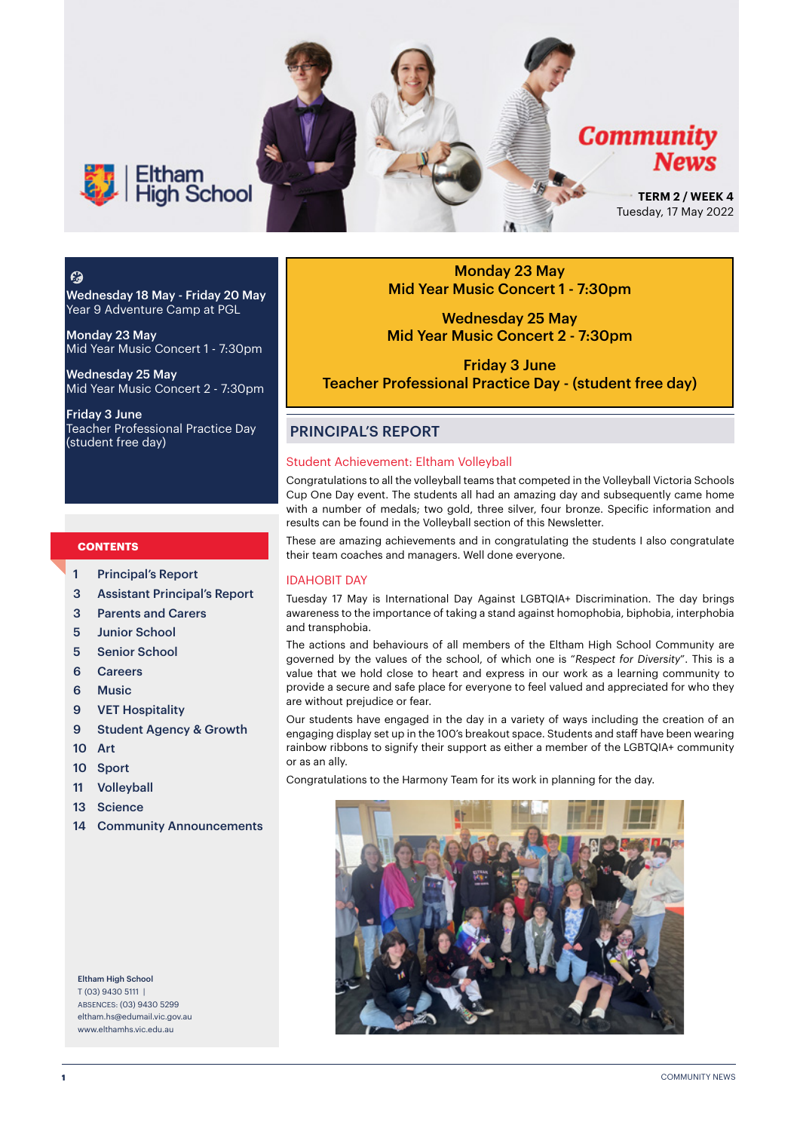

### $\mathcal{C}$

Wednesday 18 May - Friday 20 May Year 9 Adventure Camp at PGL

Monday 23 May Mid Year Music Concert 1 - 7:30pm

Wednesday 25 May Mid Year Music Concert 2 - 7:30pm

Friday 3 June Teacher Professional Practice Day (student free day)

### **CONTENTS**

- 1 Principal's Report
- 3 Assistant Principal's Report
- 3 Parents and Carers
- 5 Junior School
- 5 Senior School
- 6 Careers
- 6 Music
- 9 VET Hospitality
- 9 Student Agency & Growth
- 10 Art
- 10 Sport
- 11 Volleyball
- 13 Science
- 14 Community Announcements

Eltham High School T (03) 9430 5111 | ABSENCES: (03) 9430 5299 [eltham.hs@edumail.vic.gov.au](mailto:eltham.hs@edumail.vic.gov.au) [www.elthamhs.vic.edu.au](http://www.elthamhs.vic.edu.au)

Monday 23 May Mid Year Music Concert 1 - 7:30pm

Wednesday 25 May Mid Year Music Concert 2 - 7:30pm

Friday 3 June Teacher Professional Practice Day - (student free day)

### PRINCIPAL'S REPORT

### Student Achievement: Eltham Volleyball

Congratulations to all the volleyball teams that competed in the Volleyball Victoria Schools Cup One Day event. The students all had an amazing day and subsequently came home with a number of medals; two gold, three silver, four bronze. Specific information and results can be found in the Volleyball section of this Newsletter.

These are amazing achievements and in congratulating the students I also congratulate their team coaches and managers. Well done everyone.

### IDAHOBIT DAY

Tuesday 17 May is International Day Against LGBTQIA+ Discrimination. The day brings awareness to the importance of taking a stand against homophobia, biphobia, interphobia and transphobia.

The actions and behaviours of all members of the Eltham High School Community are governed by the values of the school, of which one is "*Respect for Diversity*". This is a value that we hold close to heart and express in our work as a learning community to provide a secure and safe place for everyone to feel valued and appreciated for who they are without prejudice or fear.

Our students have engaged in the day in a variety of ways including the creation of an engaging display set up in the 100's breakout space. Students and staff have been wearing rainbow ribbons to signify their support as either a member of the LGBTQIA+ community or as an ally.

Congratulations to the Harmony Team for its work in planning for the day.

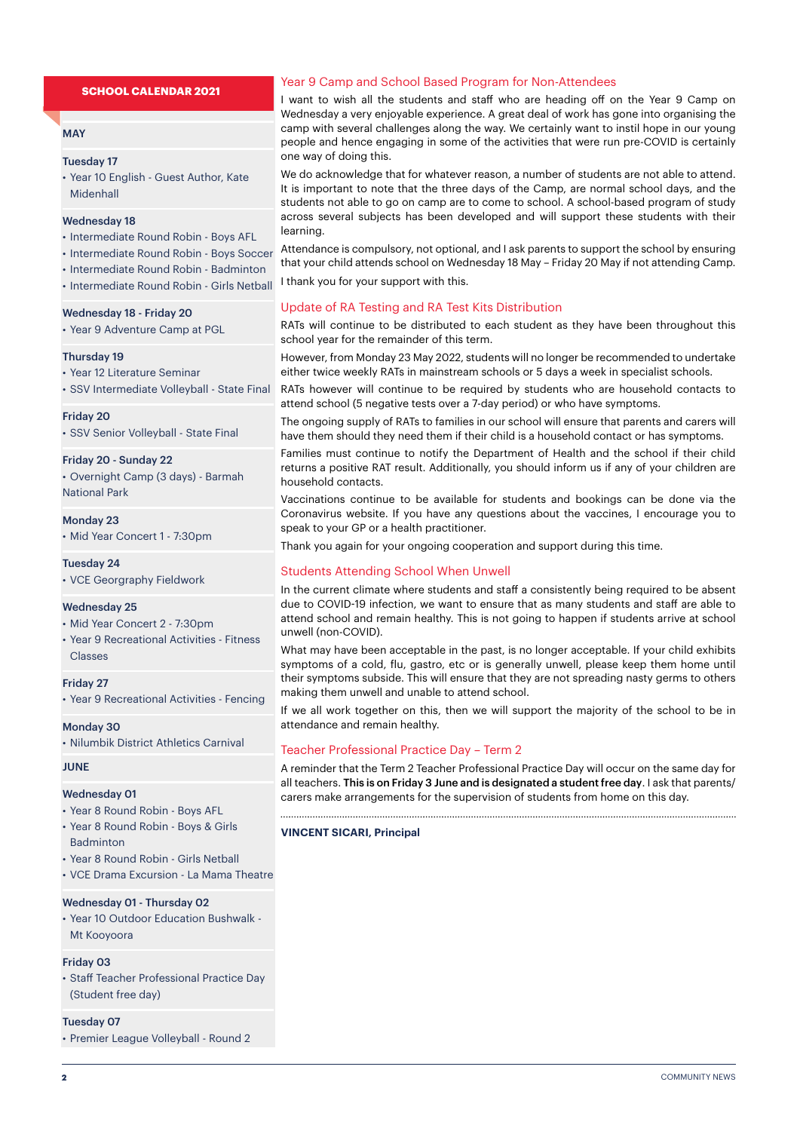### **SCHOOL CALENDAR 2021**

### **MAY**

### Tuesday 17

• Year 10 English - Guest Author, Kate Midenhall

### Wednesday 18

- Intermediate Round Robin Boys AFL
- Intermediate Round Robin Boys Soccer
- Intermediate Round Robin Badminton
- Intermediate Round Robin Girls Netball

#### Wednesday 18 - Friday 20

• Year 9 Adventure Camp at PGL

#### Thursday 19

• Year 12 Literature Seminar

• SSV Intermediate Volleyball - State Final

### Friday 20

• SSV Senior Volleyball - State Final

#### Friday 20 - Sunday 22

• Overnight Camp (3 days) - Barmah National Park

### Monday 23

• Mid Year Concert 1 - 7:30pm

### Tuesday 24

• VCE Georgraphy Fieldwork

### Wednesday 25

- Mid Year Concert 2 7:30pm
- Year 9 Recreational Activities Fitness Classes

#### Friday 27

• Year 9 Recreational Activities - Fencing

### Monday 30

• Nilumbik District Athletics Carnival

### JUNE

#### Wednesday 01

- Year 8 Round Robin Boys AFL
- Year 8 Round Robin Boys & Girls **Badminton**
- Year 8 Round Robin Girls Netball
- VCE Drama Excursion La Mama Theatre

### Wednesday 01 - Thursday 02

• Year 10 Outdoor Education Bushwalk - Mt Kooyoora

### Friday 03

• Staff Teacher Professional Practice Day (Student free day)

### Tuesday 07

• Premier League Volleyball - Round 2

### Year 9 Camp and School Based Program for Non-Attendees

I want to wish all the students and staff who are heading off on the Year 9 Camp on Wednesday a very enjoyable experience. A great deal of work has gone into organising the camp with several challenges along the way. We certainly want to instil hope in our young people and hence engaging in some of the activities that were run pre-COVID is certainly one way of doing this.

We do acknowledge that for whatever reason, a number of students are not able to attend. It is important to note that the three days of the Camp, are normal school days, and the students not able to go on camp are to come to school. A school-based program of study across several subjects has been developed and will support these students with their learning.

Attendance is compulsory, not optional, and I ask parents to support the school by ensuring that your child attends school on Wednesday 18 May – Friday 20 May if not attending Camp. I thank you for your support with this.

### Update of RA Testing and RA Test Kits Distribution

RATs will continue to be distributed to each student as they have been throughout this school year for the remainder of this term.

However, from Monday 23 May 2022, students will no longer be recommended to undertake either twice weekly RATs in mainstream schools or 5 days a week in specialist schools.

RATs however will continue to be required by students who are household contacts to attend school (5 negative tests over a 7-day period) or who have symptoms.

The ongoing supply of RATs to families in our school will ensure that parents and carers will have them should they need them if their child is a household contact or has symptoms.

Families must continue to notify the Department of Health and the school if their child returns a positive RAT result. Additionally, you should inform us if any of your children are household contacts.

Vaccinations continue to be available for students and bookings can be done via the Coronavirus website. If you have any questions about the vaccines, I encourage you to speak to your GP or a health practitioner.

Thank you again for your ongoing cooperation and support during this time.

### Students Attending School When Unwell

In the current climate where students and staff a consistently being required to be absent due to COVID-19 infection, we want to ensure that as many students and staff are able to attend school and remain healthy. This is not going to happen if students arrive at school unwell (non-COVID).

What may have been acceptable in the past, is no longer acceptable. If your child exhibits symptoms of a cold, flu, gastro, etc or is generally unwell, please keep them home until their symptoms subside. This will ensure that they are not spreading nasty germs to others making them unwell and unable to attend school.

If we all work together on this, then we will support the majority of the school to be in attendance and remain healthy.

### Teacher Professional Practice Day – Term 2

A reminder that the Term 2 Teacher Professional Practice Day will occur on the same day for all teachers. This is on Friday 3 June and is designated a student free day. I ask that parents/ carers make arrangements for the supervision of students from home on this day.

#### **VINCENT SICARI, Principal**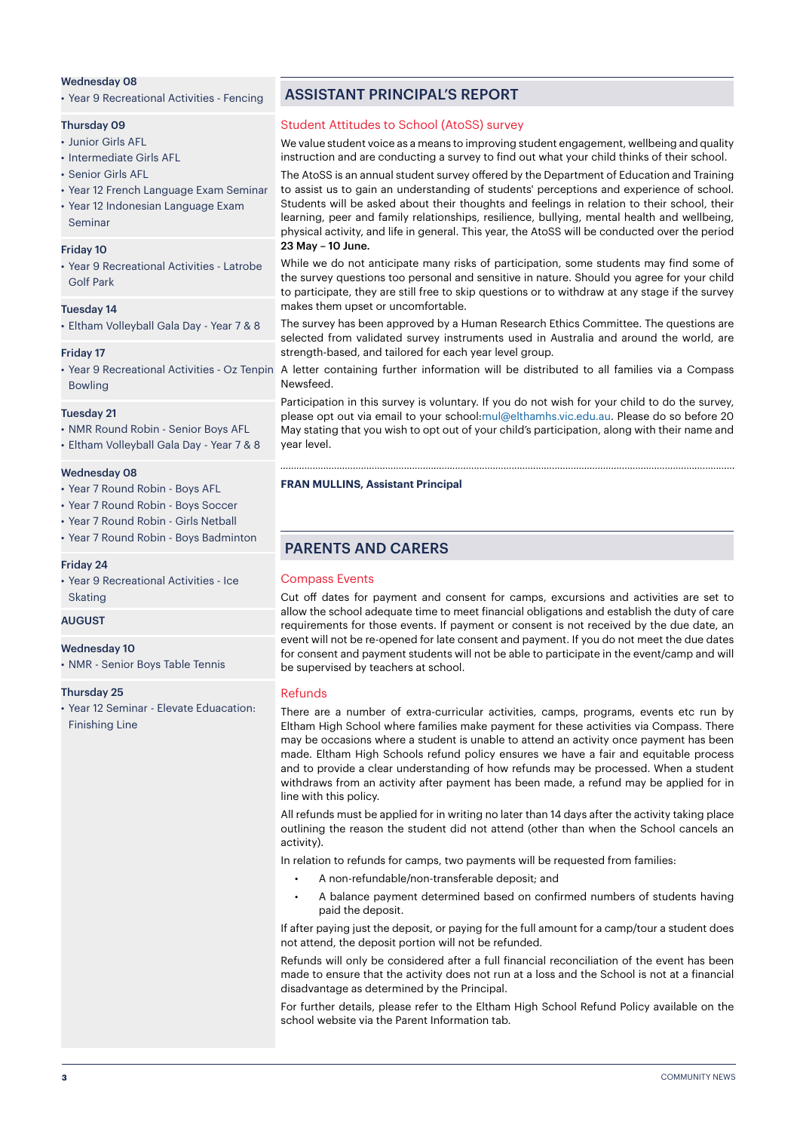### Wednesday 08

• Year 9 Recreational Activities - Fencing

### Thursday 09

- Junior Girls AFL
- Intermediate Girls AFL
- Senior Girls AFL
- Year 12 French Language Exam Seminar
- Year 12 Indonesian Language Exam Seminar

### Friday 10

• Year 9 Recreational Activities - Latrobe Golf Park

### Tuesday 14

• Eltham Volleyball Gala Day - Year 7 & 8

### Friday 17

• Year 9 Recreational Activities - Oz Tenpin Bowling

### Tuesday 21

- NMR Round Robin Senior Boys AFL
- Eltham Volleyball Gala Day Year 7 & 8

#### Wednesday 08

- Year 7 Round Robin Boys AFL
- Year 7 Round Robin Boys Soccer
- Year 7 Round Robin Girls Netball
- Year 7 Round Robin Boys Badminton

### Friday 24

• Year 9 Recreational Activities - Ice Skating

### AUGUST

#### Wednesday 10

• NMR - Senior Boys Table Tennis

### Thursday 25

• Year 12 Seminar - Elevate Eduacation: Finishing Line

### ASSISTANT PRINCIPAL'S REPORT

### Student Attitudes to School (AtoSS) survey

We value student voice as a means to improving student engagement, wellbeing and quality instruction and are conducting a survey to find out what your child thinks of their school.

The AtoSS is an annual student survey offered by the Department of Education and Training to assist us to gain an understanding of students' perceptions and experience of school. Students will be asked about their thoughts and feelings in relation to their school, their learning, peer and family relationships, resilience, bullying, mental health and wellbeing, physical activity, and life in general. This year, the AtoSS will be conducted over the period 23 May – 10 June.

While we do not anticipate many risks of participation, some students may find some of the survey questions too personal and sensitive in nature. Should you agree for your child to participate, they are still free to skip questions or to withdraw at any stage if the survey makes them upset or uncomfortable.

The survey has been approved by a Human Research Ethics Committee. The questions are selected from validated survey instruments used in Australia and around the world, are strength-based, and tailored for each year level group.

A letter containing further information will be distributed to all families via a Compass Newsfeed.

Participation in this survey is voluntary. If you do not wish for your child to do the survey, please opt out via email to your school:mul@elthamhs.vic.edu.au. Please do so before 20 May stating that you wish to opt out of your child's participation, along with their name and year level.

#### **FRAN MULLINS, Assistant Principal**

### PARENTS AND CARERS

### Compass Events

Cut off dates for payment and consent for camps, excursions and activities are set to allow the school adequate time to meet financial obligations and establish the duty of care requirements for those events. If payment or consent is not received by the due date, an event will not be re-opened for late consent and payment. If you do not meet the due dates for consent and payment students will not be able to participate in the event/camp and will be supervised by teachers at school.

### Refunds

There are a number of extra-curricular activities, camps, programs, events etc run by Eltham High School where families make payment for these activities via Compass. There may be occasions where a student is unable to attend an activity once payment has been made. Eltham High Schools refund policy ensures we have a fair and equitable process and to provide a clear understanding of how refunds may be processed. When a student withdraws from an activity after payment has been made, a refund may be applied for in line with this policy.

All refunds must be applied for in writing no later than 14 days after the activity taking place outlining the reason the student did not attend (other than when the School cancels an activity).

In relation to refunds for camps, two payments will be requested from families:

- A non-refundable/non-transferable deposit; and
- A balance payment determined based on confirmed numbers of students having paid the deposit.

If after paying just the deposit, or paying for the full amount for a camp/tour a student does not attend, the deposit portion will not be refunded.

Refunds will only be considered after a full financial reconciliation of the event has been made to ensure that the activity does not run at a loss and the School is not at a financial disadvantage as determined by the Principal.

For further details, please refer to the Eltham High School Refund Policy available on the school website via the Parent Information tab.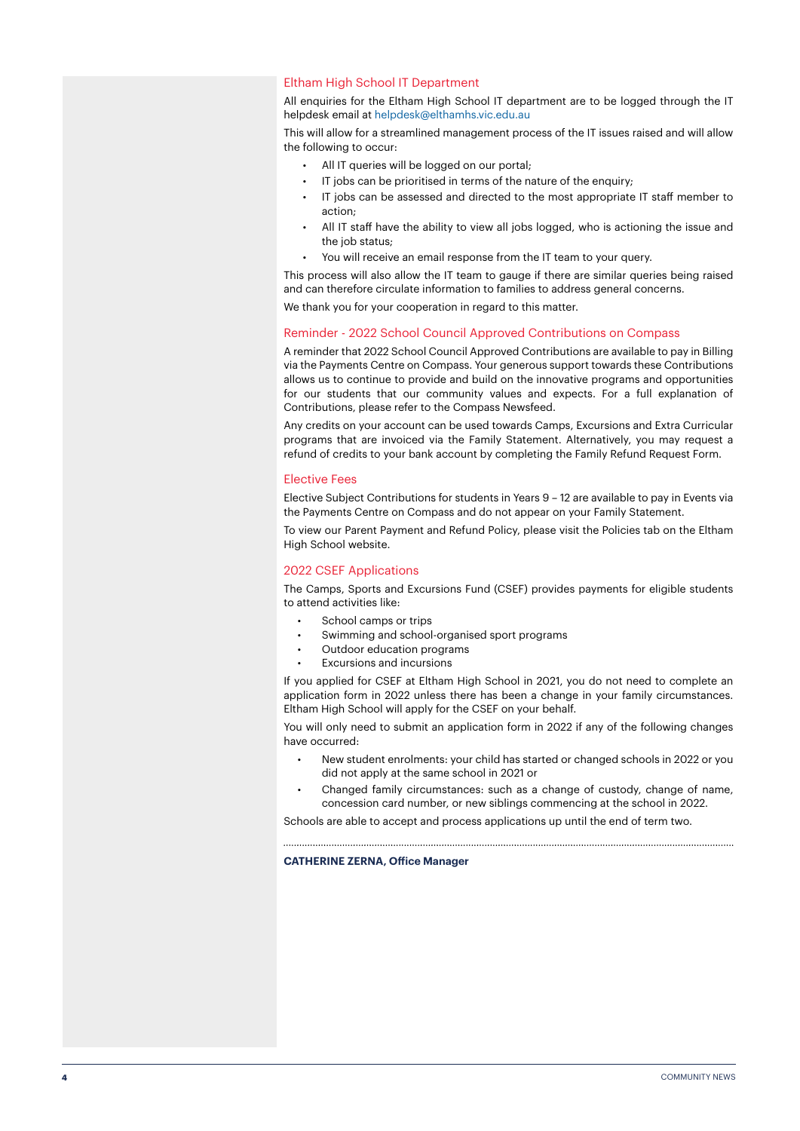### Eltham High School IT Department

All enquiries for the Eltham High School IT department are to be logged through the IT helpdesk email at helpdesk@elthamhs.vic.edu.au

This will allow for a streamlined management process of the IT issues raised and will allow the following to occur:

- All IT queries will be logged on our portal;
- IT jobs can be prioritised in terms of the nature of the enquiry;
- IT jobs can be assessed and directed to the most appropriate IT staff member to action;
- All IT staff have the ability to view all jobs logged, who is actioning the issue and the job status:
- You will receive an email response from the IT team to your query.

This process will also allow the IT team to gauge if there are similar queries being raised and can therefore circulate information to families to address general concerns.

We thank you for your cooperation in regard to this matter.

### Reminder - 2022 School Council Approved Contributions on Compass

A reminder that 2022 School Council Approved Contributions are available to pay in Billing via the Payments Centre on Compass. Your generous support towards these Contributions allows us to continue to provide and build on the innovative programs and opportunities for our students that our community values and expects. For a full explanation of Contributions, please refer to the Compass Newsfeed.

Any credits on your account can be used towards Camps, Excursions and Extra Curricular programs that are invoiced via the Family Statement. Alternatively, you may request a refund of credits to your bank account by completing the Family Refund Request Form.

### Elective Fees

Elective Subject Contributions for students in Years 9 – 12 are available to pay in Events via the Payments Centre on Compass and do not appear on your Family Statement.

To view our Parent Payment and Refund Policy, please visit the Policies tab on the Eltham High School website.

### 2022 CSEF Applications

The Camps, Sports and Excursions Fund (CSEF) provides payments for eligible students to attend activities like:

- School camps or trips
	- Swimming and school-organised sport programs
	- Outdoor education programs
- Excursions and incursions

If you applied for CSEF at Eltham High School in 2021, you do not need to complete an application form in 2022 unless there has been a change in your family circumstances. Eltham High School will apply for the CSEF on your behalf.

You will only need to submit an application form in 2022 if any of the following changes have occurred:

- New student enrolments: your child has started or changed schools in 2022 or you did not apply at the same school in 2021 or
- Changed family circumstances: such as a change of custody, change of name, concession card number, or new siblings commencing at the school in 2022.

Schools are able to accept and process applications up until the end of term two.

**CATHERINE ZERNA, Office Manager**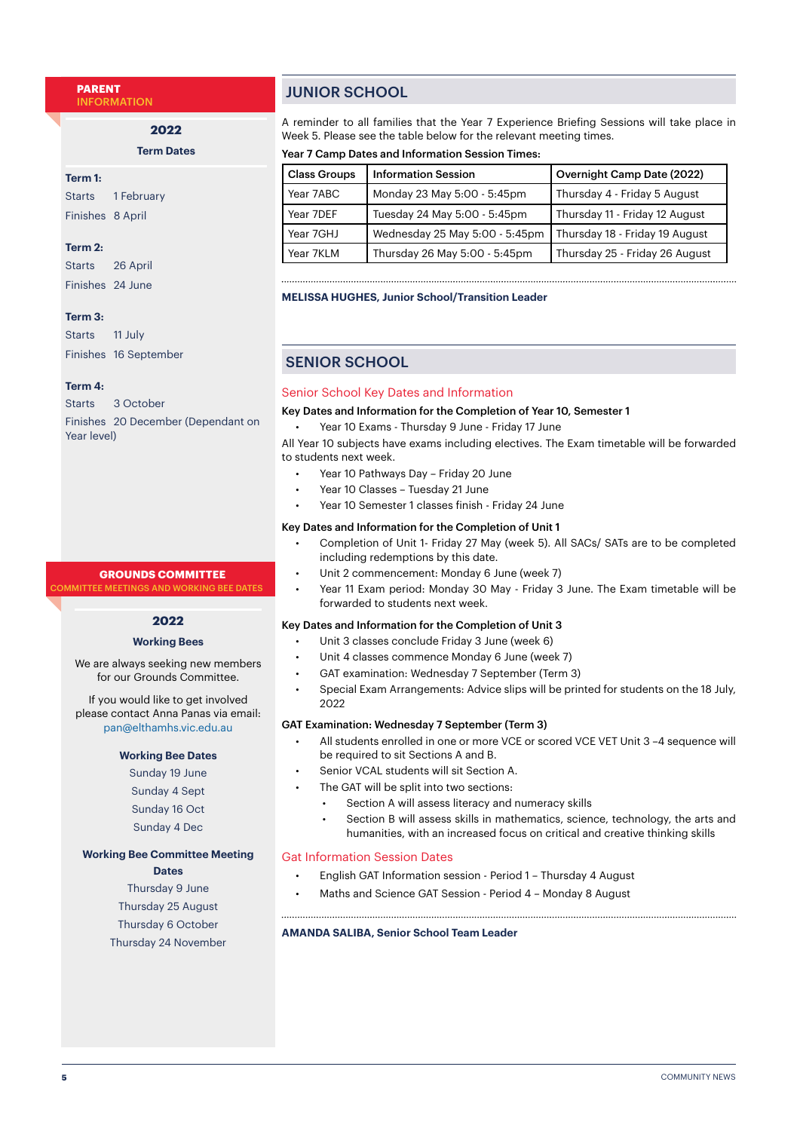**PARENT** INFORMATION

**2022**

**Term Dates**

### **Term 1:**

Starts 1 February Finishes 8 April

### **Term 2:**

Starts 26 April Finishes 24 June

### **Term 3:**

Starts 11 July Finishes 16 September

### **Term 4:**

Starts 3 October Finishes 20 December (Dependant on Year level)

### **GROUNDS COMMITTEE**

*AMITTEE MEETINGS AND WORKING BEE DATES* 

### **2022**

### **Working Bees**

We are always seeking new members for our Grounds Committee.

If you would like to get involved please contact Anna Panas via email: pan@elthamhs.vic.edu.au

### **Working Bee Dates**

Sunday 19 June Sunday 4 Sept Sunday 16 Oct Sunday 4 Dec

### **Working Bee Committee Meeting**

**Dates**

Thursday 9 June Thursday 25 August Thursday 6 October Thursday 24 November

### JUNIOR SCHOOL

A reminder to all families that the Year 7 Experience Briefing Sessions will take place in Week 5. Please see the table below for the relevant meeting times.

### Year 7 Camp Dates and Information Session Times:

| <b>Class Groups</b> | <b>Information Session</b>     | Overnight Camp Date (2022)     |
|---------------------|--------------------------------|--------------------------------|
| Year 7ABC           | Monday 23 May 5:00 - 5:45pm    | Thursday 4 - Friday 5 August   |
| Year 7DEF           | Tuesday 24 May 5:00 - 5:45pm   | Thursday 11 - Friday 12 August |
| Year 7GHJ           | Wednesday 25 May 5:00 - 5:45pm | Thursday 18 - Friday 19 August |
| Year 7KLM           | Thursday 26 May 5:00 - 5:45pm  | Thursday 25 - Friday 26 August |

### **MELISSA HUGHES, Junior School/Transition Leader**

### SENIOR SCHOOL

### Senior School Key Dates and Information

Key Dates and Information for the Completion of Year 10, Semester 1

• Year 10 Exams - Thursday 9 June - Friday 17 June

All Year 10 subjects have exams including electives. The Exam timetable will be forwarded to students next week.

- Year 10 Pathways Day Friday 20 June
- Year 10 Classes Tuesday 21 June
- Year 10 Semester 1 classes finish Friday 24 June

### Key Dates and Information for the Completion of Unit 1

- Completion of Unit 1- Friday 27 May (week 5). All SACs/ SATs are to be completed including redemptions by this date.
- Unit 2 commencement: Monday 6 June (week 7)
- Year 11 Exam period: Monday 30 May Friday 3 June. The Exam timetable will be forwarded to students next week.

### Key Dates and Information for the Completion of Unit 3

- Unit 3 classes conclude Friday 3 June (week 6)
- Unit 4 classes commence Monday 6 June (week 7)
- GAT examination: Wednesday 7 September (Term 3)
- Special Exam Arrangements: Advice slips will be printed for students on the 18 July, 2022

### GAT Examination: Wednesday 7 September (Term 3)

- All students enrolled in one or more VCE or scored VCE VET Unit 3 –4 sequence will be required to sit Sections A and B.
- Senior VCAL students will sit Section A.
- The GAT will be split into two sections:
	- Section A will assess literacy and numeracy skills
	- Section B will assess skills in mathematics, science, technology, the arts and humanities, with an increased focus on critical and creative thinking skills

### Gat Information Session Dates

- English GAT Information session Period 1 Thursday 4 August
- Maths and Science GAT Session Period 4 Monday 8 August

### **AMANDA SALIBA, Senior School Team Leader**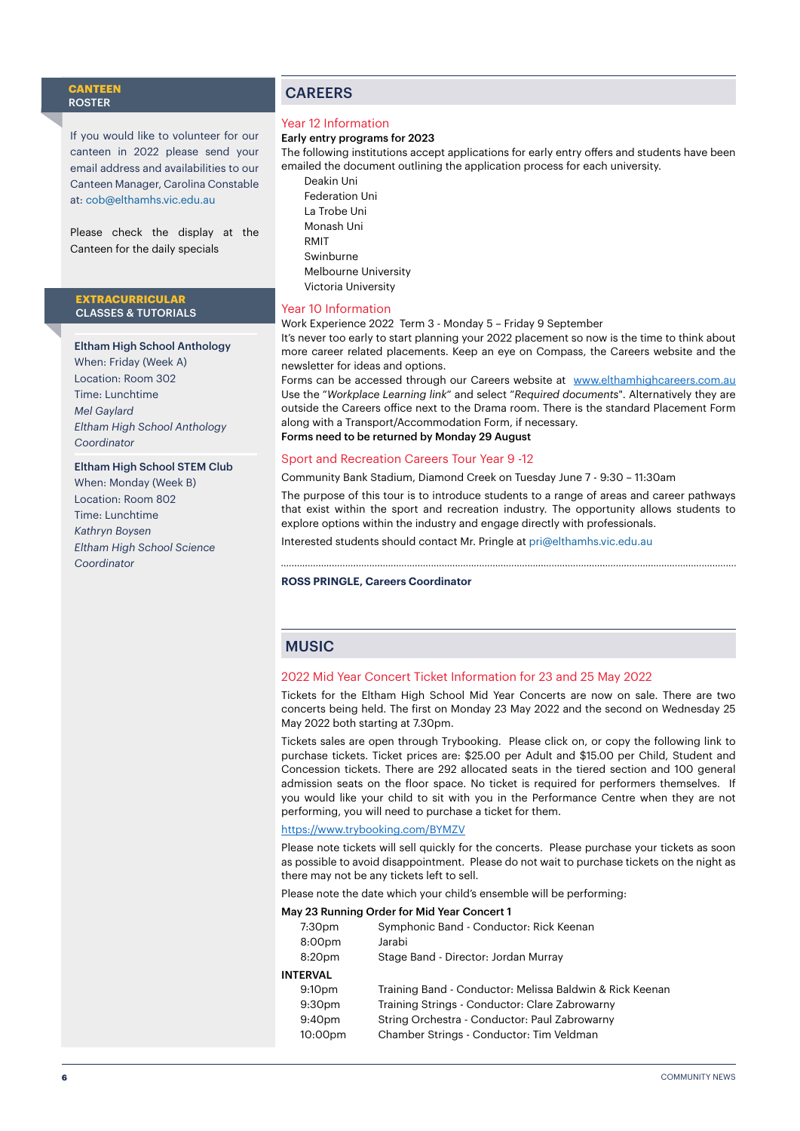### **CANTEEN** ROSTER

If you would like to volunteer for our canteen in 2022 please send your email address and availabilities to our Canteen Manager, Carolina Constable at: [cob@elthamhs.vic.edu.au](mailto:cob@elthamhs.vic.edu.au)

Please check the display at the Canteen for the daily specials

### **EXTRACURRICULAR**  CLASSES & TUTORIALS

### Eltham High School Anthology

When: Friday (Week A) Location: Room 302 Time: Lunchtime *Mel Gaylard Eltham High School Anthology Coordinator*

#### Eltham High School STEM Club

When: Monday (Week B) Location: Room 802 Time: Lunchtime *Kathryn Boysen Eltham High School Science Coordinator*

### CAREERS

### Year 12 Information

### Early entry programs for 2023

The following institutions accept applications for early entry offers and students have been emailed the document outlining the application process for each university.

Deakin Uni Federation Uni La Trobe Uni Monash Uni RMIT Swinburne Melbourne University Victoria University

### Year 10 Information

Work Experience 2022 Term 3 - Monday 5 – Friday 9 September

It's never too early to start planning your 2022 placement so now is the time to think about more career related placements. Keep an eye on Compass, the Careers website and the newsletter for ideas and options.

Forms can be accessed through our Careers website at [www.elthamhighcareers.com.au](http://www.elthamhighcareers.com.au) Use the "*Workplace Learning link*" and select "*Required documents*". Alternatively they are outside the Careers office next to the Drama room. There is the standard Placement Form along with a Transport/Accommodation Form, if necessary. Forms need to be returned by Monday 29 August

### Sport and Recreation Careers Tour Year 9 -12

Community Bank Stadium, Diamond Creek on Tuesday June 7 - 9:30 – 11:30am

The purpose of this tour is to introduce students to a range of areas and career pathways that exist within the sport and recreation industry. The opportunity allows students to explore options within the industry and engage directly with professionals.

Interested students should contact Mr. Pringle at pri@elthamhs.vic.edu.au

#### **ROSS PRINGLE, Careers Coordinator**

### **MUSIC**

### 2022 Mid Year Concert Ticket Information for 23 and 25 May 2022

Tickets for the Eltham High School Mid Year Concerts are now on sale. There are two concerts being held. The first on Monday 23 May 2022 and the second on Wednesday 25 May 2022 both starting at 7.30pm.

Tickets sales are open through Trybooking. Please click on, or copy the following link to purchase tickets. Ticket prices are: \$25.00 per Adult and \$15.00 per Child, Student and Concession tickets. There are 292 allocated seats in the tiered section and 100 general admission seats on the floor space. No ticket is required for performers themselves. If you would like your child to sit with you in the Performance Centre when they are not performing, you will need to purchase a ticket for them.

### <https://www.trybooking.com/BYMZV>

Please note tickets will sell quickly for the concerts. Please purchase your tickets as soon as possible to avoid disappointment. Please do not wait to purchase tickets on the night as there may not be any tickets left to sell.

Please note the date which your child's ensemble will be performing:

### May 23 Running Order for Mid Year Concert 1

| 7:30 <sub>pm</sub> | Symphonic Band - Conductor: Rick Keenan                  |
|--------------------|----------------------------------------------------------|
| 8:00 <sub>pm</sub> | Jarabi                                                   |
| 8:20pm             | Stage Band - Director: Jordan Murray                     |
| INTERVAL           |                                                          |
| 9:10 <sub>pm</sub> | Training Band - Conductor: Melissa Baldwin & Rick Keenan |
| 9:30 <sub>pm</sub> | Training Strings - Conductor: Clare Zabrowarny           |
| 9:40 <sub>pm</sub> | String Orchestra - Conductor: Paul Zabrowarny            |
| 10:00pm            | Chamber Strings - Conductor: Tim Veldman                 |
|                    |                                                          |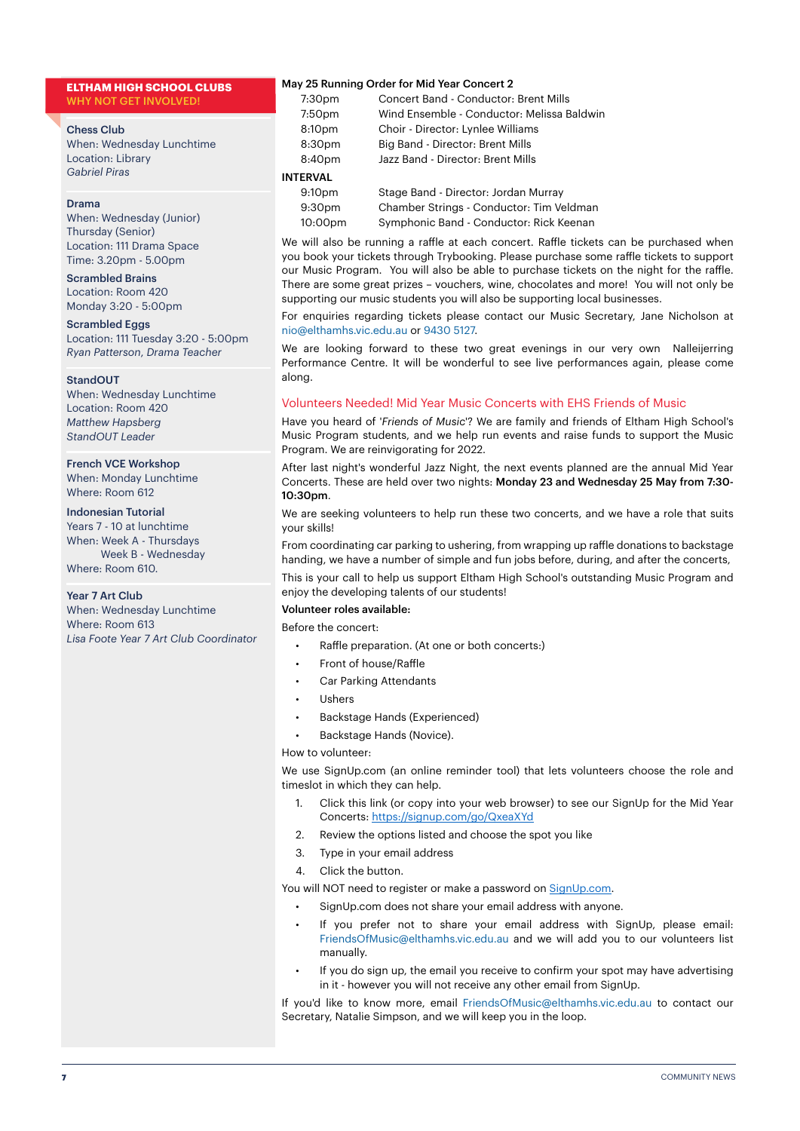### **ELTHAM HIGH SCHOOL CLUBS** WHY NOT GET INVOLVED!

Chess Club

When: Wednesday Lunchtime Location: Library *Gabriel Piras*

### Drama

When: Wednesday (Junior) Thursday (Senior) Location: 111 Drama Space Time: 3.20pm - 5.00pm

### Scrambled Brains

Location: Room 420 Monday 3:20 - 5:00pm

### Scrambled Eggs

Location: 111 Tuesday 3:20 - 5:00pm *Ryan Patterson*, *Drama Teacher*

#### StandOUT

When: Wednesday Lunchtime Location: Room 420 *Matthew Hapsberg StandOUT Leader*

### French VCE Workshop

When: Monday Lunchtime Where: Room 612

### Indonesian Tutorial

Years 7 - 10 at lunchtime When: Week A - Thursdays Week B - Wednesday Where: Room 610.

### Year 7 Art Club

When: Wednesday Lunchtime Where: Room 613 *Lisa Foote Year 7 Art Club Coordinator*

### May 25 Running Order for Mid Year Concert 2

| 7:30pm             | <b>Concert Band - Conductor: Brent Mills</b> |
|--------------------|----------------------------------------------|
| 7:50pm             | Wind Ensemble - Conductor: Melissa Baldwin   |
| 8:10pm             | Choir - Director: Lynlee Williams            |
| 8:30pm             | Big Band - Director: Brent Mills             |
| 8:40pm             | Jazz Band - Director: Brent Mills            |
| <b>INTERVAL</b>    |                                              |
| 9:10 <sub>pm</sub> | Stage Band - Director: Jordan Murray         |
| 9:30 <sub>pm</sub> | Chamber Strings - Conductor: Tim Veldman     |
| 10:00pm            | Symphonic Band - Conductor: Rick Keenan      |

We will also be running a raffle at each concert. Raffle tickets can be purchased when you book your tickets through Trybooking. Please purchase some raffle tickets to support our Music Program. You will also be able to purchase tickets on the night for the raffle. There are some great prizes – vouchers, wine, chocolates and more! You will not only be supporting our music students you will also be supporting local businesses.

For enquiries regarding tickets please contact our Music Secretary, Jane Nicholson at nio@elthamhs.vic.edu.au or 9430 5127.

We are looking forward to these two great evenings in our very own Nalleijerring Performance Centre. It will be wonderful to see live performances again, please come along.

### Volunteers Needed! Mid Year Music Concerts with EHS Friends of Music

Have you heard of '*Friends of Music*'? We are family and friends of Eltham High School's Music Program students, and we help run events and raise funds to support the Music Program. We are reinvigorating for 2022.

After last night's wonderful Jazz Night, the next events planned are the annual Mid Year Concerts. These are held over two nights: Monday 23 and Wednesday 25 May from 7:30-  $10:30$ pm.

We are seeking volunteers to help run these two concerts, and we have a role that suits your skills!

From coordinating car parking to ushering, from wrapping up raffle donations to backstage handing, we have a number of simple and fun jobs before, during, and after the concerts,

This is your call to help us support Eltham High School's outstanding Music Program and enjoy the developing talents of our students!

### Volunteer roles available:

Before the concert:

- Raffle preparation. (At one or both concerts:)
- Front of house/Raffle
- Car Parking Attendants
- Ushers
- Backstage Hands (Experienced)
- Backstage Hands (Novice).

### How to volunteer:

We use SignUp.com (an online reminder tool) that lets volunteers choose the role and timeslot in which they can help.

- 1. Click this link (or copy into your web browser) to see our SignUp for the Mid Year Concerts: <https://signup.com/go/QxeaXYd>
- 2. Review the options listed and choose the spot you like
- 3. Type in your email address
- 4. Click the button.

You will NOT need to register or make a password on [SignUp.com.](http://SignUp.com)

- SignUp.com does not share your email address with anyone.
- If you prefer not to share your email address with SignUp, please email: FriendsOfMusic@elthamhs.vic.edu.au and we will add you to our volunteers list manually.
- If you do sign up, the email you receive to confirm your spot may have advertising in it - however you will not receive any other email from SignUp.

If you'd like to know more, email FriendsOfMusic@elthamhs.vic.edu.au to contact our Secretary, Natalie Simpson, and we will keep you in the loop.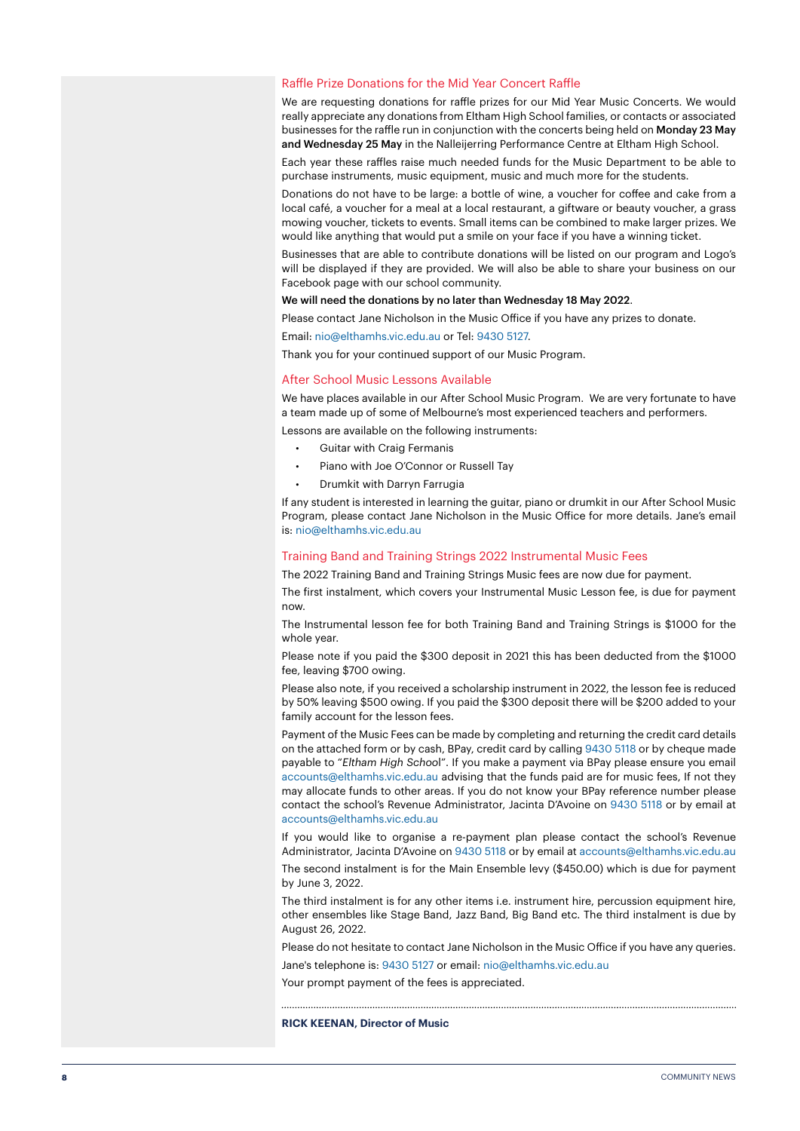### Raffle Prize Donations for the Mid Year Concert Raffle

We are requesting donations for raffle prizes for our Mid Year Music Concerts. We would really appreciate any donations from Eltham High School families, or contacts or associated businesses for the raffle run in conjunction with the concerts being held on Monday 23 May and Wednesday 25 May in the Nalleijerring Performance Centre at Eltham High School.

Each year these raffles raise much needed funds for the Music Department to be able to purchase instruments, music equipment, music and much more for the students.

Donations do not have to be large: a bottle of wine, a voucher for coffee and cake from a local café, a voucher for a meal at a local restaurant, a giftware or beauty voucher, a grass mowing voucher, tickets to events. Small items can be combined to make larger prizes. We would like anything that would put a smile on your face if you have a winning ticket.

Businesses that are able to contribute donations will be listed on our program and Logo's will be displayed if they are provided. We will also be able to share your business on our Facebook page with our school community.

### We will need the donations by no later than Wednesday 18 May 2022.

Please contact Jane Nicholson in the Music Office if you have any prizes to donate.

Email: nio@elthamhs.vic.edu.au or Tel: 9430 5127.

Thank you for your continued support of our Music Program.

#### After School Music Lessons Available

We have places available in our After School Music Program. We are very fortunate to have a team made up of some of Melbourne's most experienced teachers and performers.

Lessons are available on the following instruments:

- Guitar with Craig Fermanis
- Piano with Joe O'Connor or Russell Tay
- Drumkit with Darryn Farrugia

If any student is interested in learning the guitar, piano or drumkit in our After School Music Program, please contact Jane Nicholson in the Music Office for more details. Jane's email is: nio@elthamhs.vic.edu.au

### Training Band and Training Strings 2022 Instrumental Music Fees

The 2022 Training Band and Training Strings Music fees are now due for payment.

The first instalment, which covers your Instrumental Music Lesson fee, is due for payment now.

The Instrumental lesson fee for both Training Band and Training Strings is \$1000 for the whole year.

Please note if you paid the \$300 deposit in 2021 this has been deducted from the \$1000 fee, leaving \$700 owing.

Please also note, if you received a scholarship instrument in 2022, the lesson fee is reduced by 50% leaving \$500 owing. If you paid the \$300 deposit there will be \$200 added to your family account for the lesson fees.

Payment of the Music Fees can be made by completing and returning the credit card details on the attached form or by cash, BPay, credit card by calling 9430 5118 or by cheque made payable to "*Eltham High Schoo*l". If you make a payment via BPay please ensure you email accounts@elthamhs.vic.edu.au advising that the funds paid are for music fees, If not they may allocate funds to other areas. If you do not know your BPay reference number please contact the school's Revenue Administrator, Jacinta D'Avoine on 9430 5118 or by email at accounts@elthamhs.vic.edu.au

If you would like to organise a re-payment plan please contact the school's Revenue Administrator, Jacinta D'Avoine on 9430 5118 or by email at accounts@elthamhs.vic.edu.au

The second instalment is for the Main Ensemble levy (\$450.00) which is due for payment by June 3, 2022.

The third instalment is for any other items i.e. instrument hire, percussion equipment hire, other ensembles like Stage Band, Jazz Band, Big Band etc. The third instalment is due by August 26, 2022.

Please do not hesitate to contact Jane Nicholson in the Music Office if you have any queries.

Jane's telephone is: 9430 5127 or email: nio@elthamhs.vic.edu.au

Your prompt payment of the fees is appreciated.

**RICK KEENAN, Director of Music**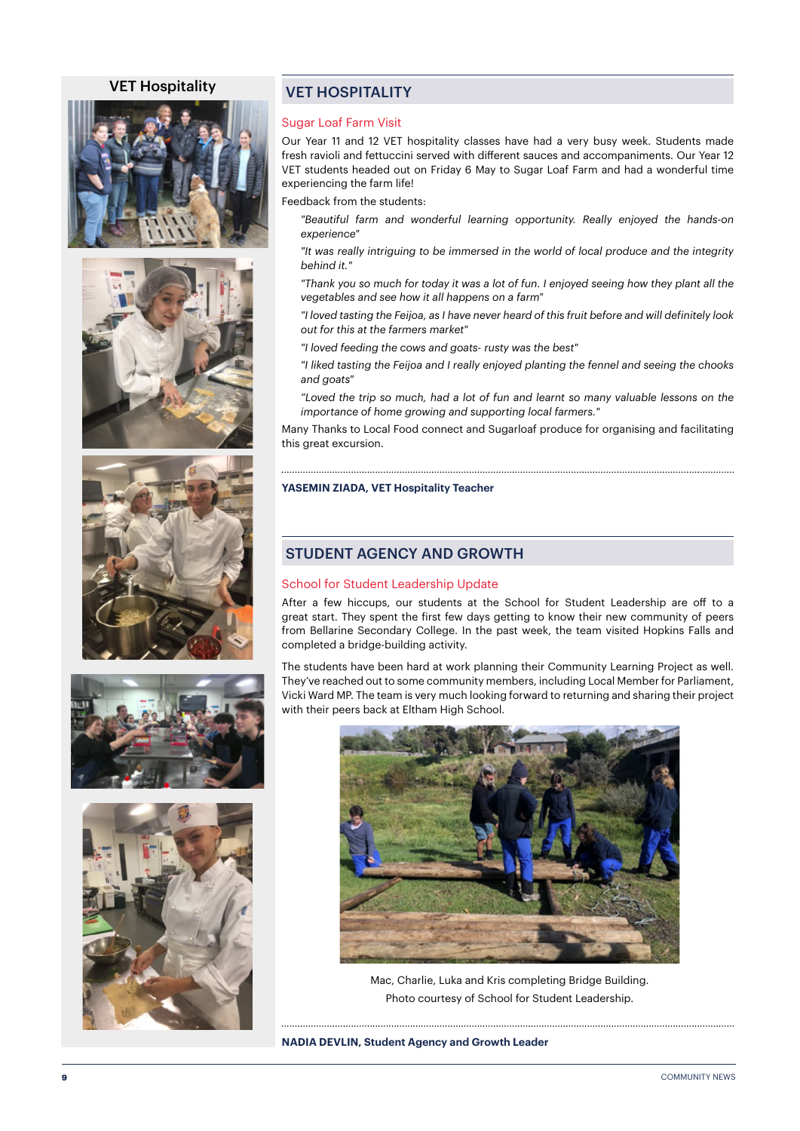### VET Hospitality











### VET HOSPITALITY

### Sugar Loaf Farm Visit

Our Year 11 and 12 VET hospitality classes have had a very busy week. Students made fresh ravioli and fettuccini served with different sauces and accompaniments. Our Year 12 VET students headed out on Friday 6 May to Sugar Loaf Farm and had a wonderful time experiencing the farm life!

Feedback from the students:

*"Beautiful farm and wonderful learning opportunity. Really enjoyed the hands-on experience"*

*"It was really intriguing to be immersed in the world of local produce and the integrity behind it."*

*"Thank you so much for today it was a lot of fun. I enjoyed seeing how they plant all the vegetables and see how it all happens on a farm"*

*"I loved tasting the Feijoa, as I have never heard of this fruit before and will definitely look out for this at the farmers market"*

*"I loved feeding the cows and goats- rusty was the best"*

*"I liked tasting the Feijoa and I really enjoyed planting the fennel and seeing the chooks and goats"*

*"Loved the trip so much, had a lot of fun and learnt so many valuable lessons on the importance of home growing and supporting local farmers."*

Many Thanks to Local Food connect and Sugarloaf produce for organising and facilitating this great excursion.

**YASEMIN ZIADA, VET Hospitality Teacher**

### STUDENT AGENCY AND GROWTH

### School for Student Leadership Update

After a few hiccups, our students at the School for Student Leadership are off to a great start. They spent the first few days getting to know their new community of peers from Bellarine Secondary College. In the past week, the team visited Hopkins Falls and completed a bridge-building activity.

The students have been hard at work planning their Community Learning Project as well. They've reached out to some community members, including Local Member for Parliament, Vicki Ward MP. The team is very much looking forward to returning and sharing their project with their peers back at Eltham High School.



Mac, Charlie, Luka and Kris completing Bridge Building. Photo courtesy of School for Student Leadership.

**NADIA DEVLIN, Student Agency and Growth Leader**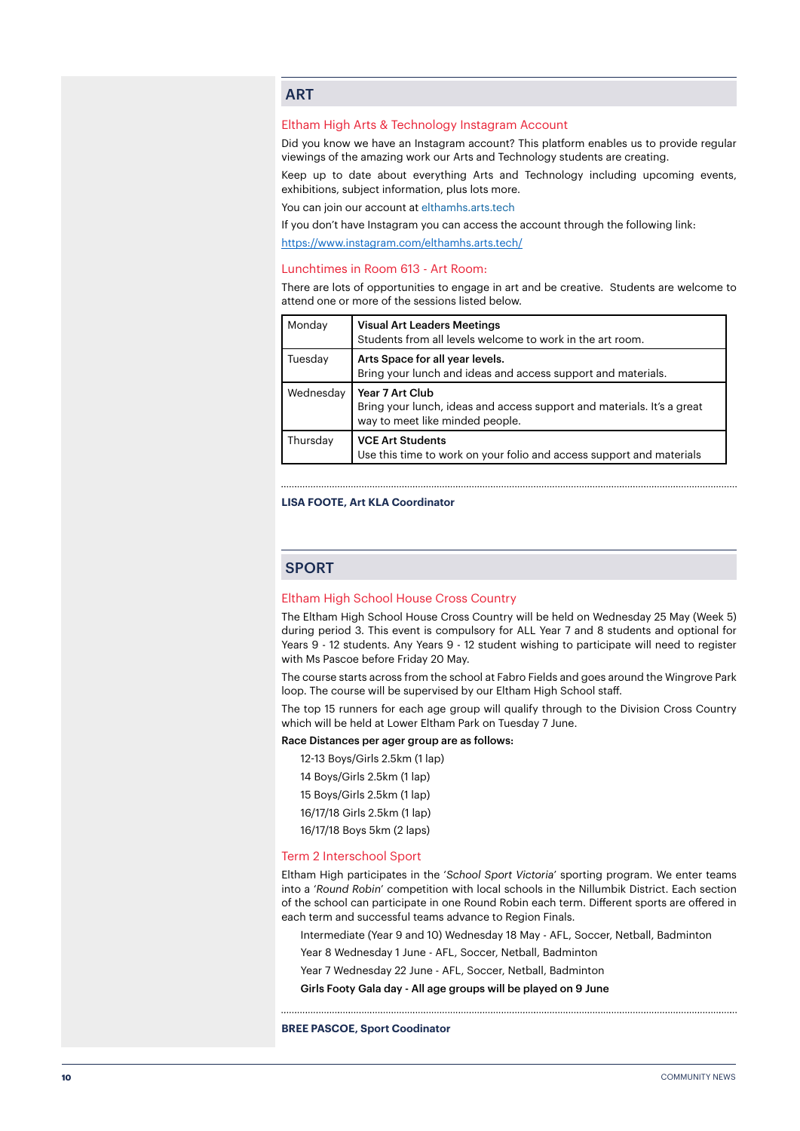### **ART**

### Eltham High Arts & Technology Instagram Account

Did you know we have an Instagram account? This platform enables us to provide regular viewings of the amazing work our Arts and Technology students are creating.

Keep up to date about everything Arts and Technology including upcoming events, exhibitions, subject information, plus lots more.

You can join our account at elthamhs.arts.tech

If you don't have Instagram you can access the account through the following link:

<https://www.instagram.com/elthamhs.arts.tech/>

### Lunchtimes in Room 613 - Art Room:

There are lots of opportunities to engage in art and be creative. Students are welcome to attend one or more of the sessions listed below.

| Monday         | <b>Visual Art Leaders Meetings</b><br>Students from all levels welcome to work in the art room.                              |
|----------------|------------------------------------------------------------------------------------------------------------------------------|
| <b>Tuesday</b> | Arts Space for all year levels.<br>Bring your lunch and ideas and access support and materials.                              |
| Wednesday      | Year 7 Art Club<br>Bring your lunch, ideas and access support and materials. It's a great<br>way to meet like minded people. |
| Thursday       | <b>VCE Art Students</b><br>Use this time to work on your folio and access support and materials                              |

#### **LISA FOOTE, Art KLA Coordinator**

### **SPORT**

### Eltham High School House Cross Country

The Eltham High School House Cross Country will be held on Wednesday 25 May (Week 5) during period 3. This event is compulsory for ALL Year 7 and 8 students and optional for Years 9 - 12 students. Any Years 9 - 12 student wishing to participate will need to register with Ms Pascoe before Friday 20 May.

The course starts across from the school at Fabro Fields and goes around the Wingrove Park loop. The course will be supervised by our Eltham High School staff.

The top 15 runners for each age group will qualify through to the Division Cross Country which will be held at Lower Eltham Park on Tuesday 7 June.

### Race Distances per ager group are as follows:

- 12-13 Boys/Girls 2.5km (1 lap)
- 14 Boys/Girls 2.5km (1 lap)
- 15 Boys/Girls 2.5km (1 lap)
- 16/17/18 Girls 2.5km (1 lap)
- 16/17/18 Boys 5km (2 laps)

### Term 2 Interschool Sport

Eltham High participates in the '*School Sport Victoria*' sporting program. We enter teams into a '*Round Robin*' competition with local schools in the Nillumbik District. Each section of the school can participate in one Round Robin each term. Different sports are offered in each term and successful teams advance to Region Finals.

Intermediate (Year 9 and 10) Wednesday 18 May - AFL, Soccer, Netball, Badminton

Year 8 Wednesday 1 June - AFL, Soccer, Netball, Badminton

Year 7 Wednesday 22 June - AFL, Soccer, Netball, Badminton

Girls Footy Gala day - All age groups will be played on 9 June

**BREE PASCOE, Sport Coodinator**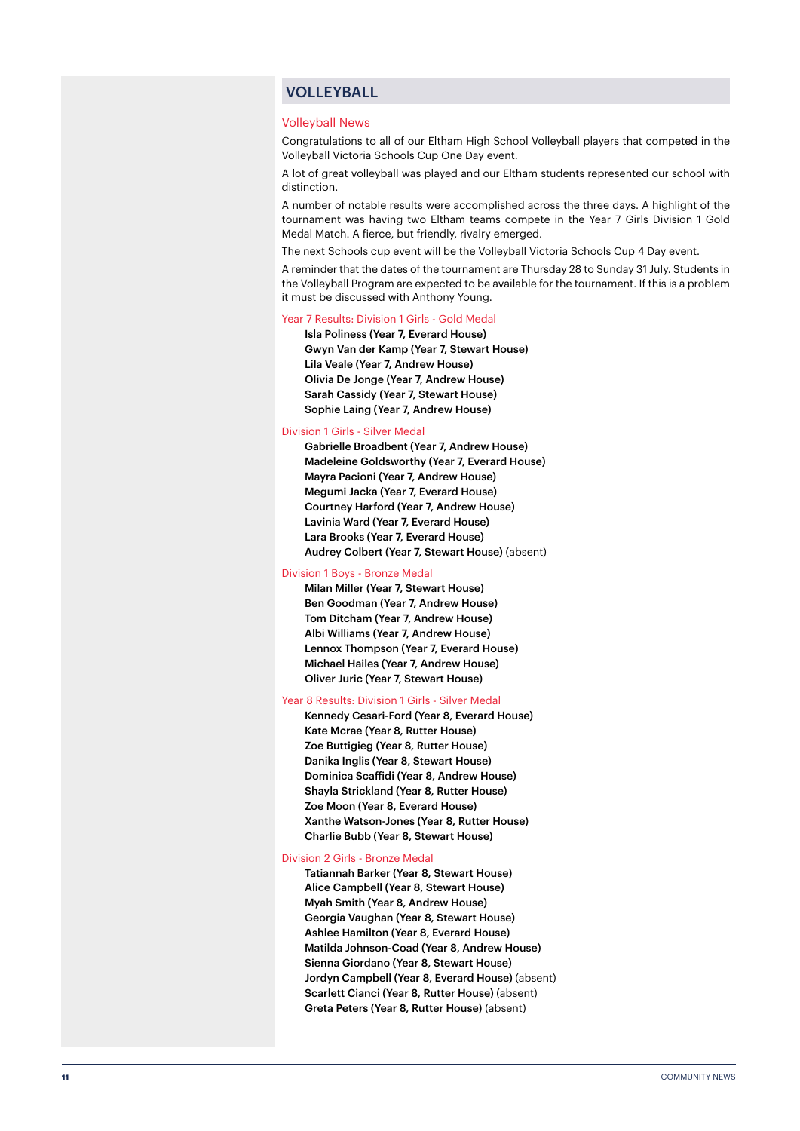### VOLLEYBALL

### Volleyball News

Congratulations to all of our Eltham High School Volleyball players that competed in the Volleyball Victoria Schools Cup One Day event.

A lot of great volleyball was played and our Eltham students represented our school with distinction.

A number of notable results were accomplished across the three days. A highlight of the tournament was having two Eltham teams compete in the Year 7 Girls Division 1 Gold Medal Match. A fierce, but friendly, rivalry emerged.

The next Schools cup event will be the Volleyball Victoria Schools Cup 4 Day event.

A reminder that the dates of the tournament are Thursday 28 to Sunday 31 July. Students in the Volleyball Program are expected to be available for the tournament. If this is a problem it must be discussed with Anthony Young.

### Year 7 Results: Division 1 Girls - Gold Medal

Isla Poliness (Year 7, Everard House) Gwyn Van der Kamp (Year 7, Stewart House) Lila Veale (Year 7, Andrew House) Olivia De Jonge (Year 7, Andrew House) Sarah Cassidy (Year 7, Stewart House) Sophie Laing (Year 7, Andrew House)

### Division 1 Girls - Silver Medal

Gabrielle Broadbent (Year 7, Andrew House) Madeleine Goldsworthy (Year 7, Everard House) Mayra Pacioni (Year 7, Andrew House) Megumi Jacka (Year 7, Everard House) Courtney Harford (Year 7, Andrew House) Lavinia Ward (Year 7, Everard House) Lara Brooks (Year 7, Everard House) Audrey Colbert (Year 7, Stewart House) (absent)

### Division 1 Boys - Bronze Medal

Milan Miller (Year 7, Stewart House) Ben Goodman (Year 7, Andrew House) Tom Ditcham (Year 7, Andrew House) Albi Williams (Year 7, Andrew House) Lennox Thompson (Year 7, Everard House) Michael Hailes (Year 7, Andrew House) Oliver Juric (Year 7, Stewart House)

### Year 8 Results: Division 1 Girls - Silver Medal

Kennedy Cesari-Ford (Year 8, Everard House) Kate Mcrae (Year 8, Rutter House) Zoe Buttigieg (Year 8, Rutter House) Danika Inglis (Year 8, Stewart House) Dominica Scaffidi (Year 8, Andrew House) Shayla Strickland (Year 8, Rutter House) Zoe Moon (Year 8, Everard House) Xanthe Watson-Jones (Year 8, Rutter House) Charlie Bubb (Year 8, Stewart House)

#### Division 2 Girls - Bronze Medal

Tatiannah Barker (Year 8, Stewart House) Alice Campbell (Year 8, Stewart House) Myah Smith (Year 8, Andrew House) Georgia Vaughan (Year 8, Stewart House) Ashlee Hamilton (Year 8, Everard House) Matilda Johnson-Coad (Year 8, Andrew House) Sienna Giordano (Year 8, Stewart House) Jordyn Campbell (Year 8, Everard House) (absent) Scarlett Cianci (Year 8, Rutter House) (absent) Greta Peters (Year 8, Rutter House) (absent)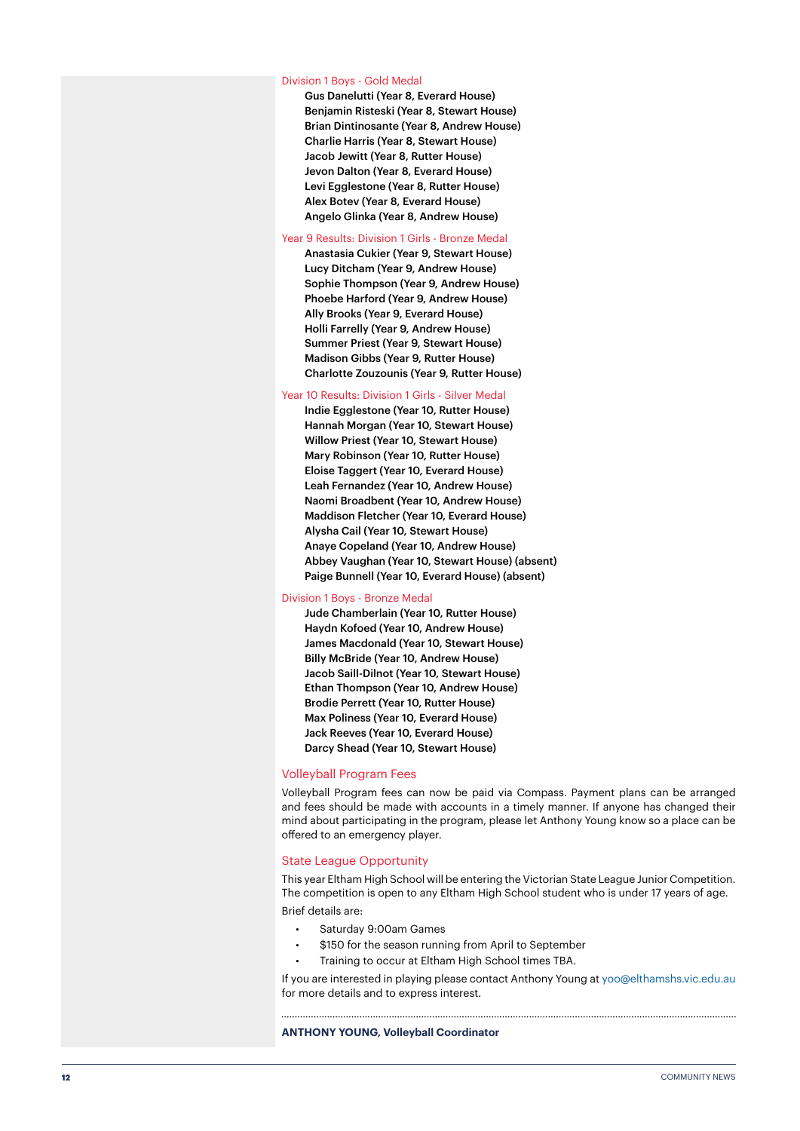#### Division 1 Boys - Gold Medal

Gus Danelutti (Year 8, Everard House) Benjamin Risteski (Year 8, Stewart House) Brian Dintinosante (Year 8, Andrew House) Charlie Harris (Year 8, Stewart House) Jacob Jewitt (Year 8, Rutter House) Jevon Dalton (Year 8, Everard House) Levi Egglestone (Year 8, Rutter House) Alex Botev (Year 8, Everard House) Angelo Glinka (Year 8, Andrew House)

### Year 9 Results: Division 1 Girls - Bronze Medal

Anastasia Cukier (Year 9, Stewart House) Lucy Ditcham (Year 9, Andrew House) Sophie Thompson (Year 9, Andrew House) Phoebe Harford (Year 9, Andrew House) Ally Brooks (Year 9, Everard House) Holli Farrelly (Year 9, Andrew House) Summer Priest (Year 9, Stewart House) Madison Gibbs (Year 9, Rutter House) Charlotte Zouzounis (Year 9, Rutter House)

#### Year 10 Results: Division 1 Girls - Silver Medal

Indie Egglestone (Year 10, Rutter House) Hannah Morgan (Year 10, Stewart House) Willow Priest (Year 10, Stewart House) Mary Robinson (Year 10, Rutter House) Eloise Taggert (Year 10, Everard House) Leah Fernandez (Year 10, Andrew House) Naomi Broadbent (Year 10, Andrew House) Maddison Fletcher (Year 10, Everard House) Alysha Cail (Year 10, Stewart House) Anaye Copeland (Year 10, Andrew House) Abbey Vaughan (Year 10, Stewart House) (absent) Paige Bunnell (Year 10, Everard House) (absent)

#### Division 1 Boys - Bronze Medal

Jude Chamberlain (Year 10, Rutter House) Haydn Kofoed (Year 10, Andrew House) James Macdonald (Year 10, Stewart House) Billy McBride (Year 10, Andrew House) Jacob Saill-Dilnot (Year 10, Stewart House) Ethan Thompson (Year 10, Andrew House) Brodie Perrett (Year 10, Rutter House) Max Poliness (Year 10, Everard House) Jack Reeves (Year 10, Everard House) Darcy Shead (Year 10, Stewart House)

### Volleyball Program Fees

Volleyball Program fees can now be paid via Compass. Payment plans can be arranged and fees should be made with accounts in a timely manner. If anyone has changed their mind about participating in the program, please let Anthony Young know so a place can be offered to an emergency player.

### State League Opportunity

This year Eltham High School will be entering the Victorian State League Junior Competition. The competition is open to any Eltham High School student who is under 17 years of age. Brief details are:

- Saturday 9:00am Games
- \$150 for the season running from April to September
- Training to occur at Eltham High School times TBA.

If you are interested in playing please contact Anthony Young at yoo@elthamshs.vic.edu.au for more details and to express interest.

**ANTHONY YOUNG, Volleyball Coordinator**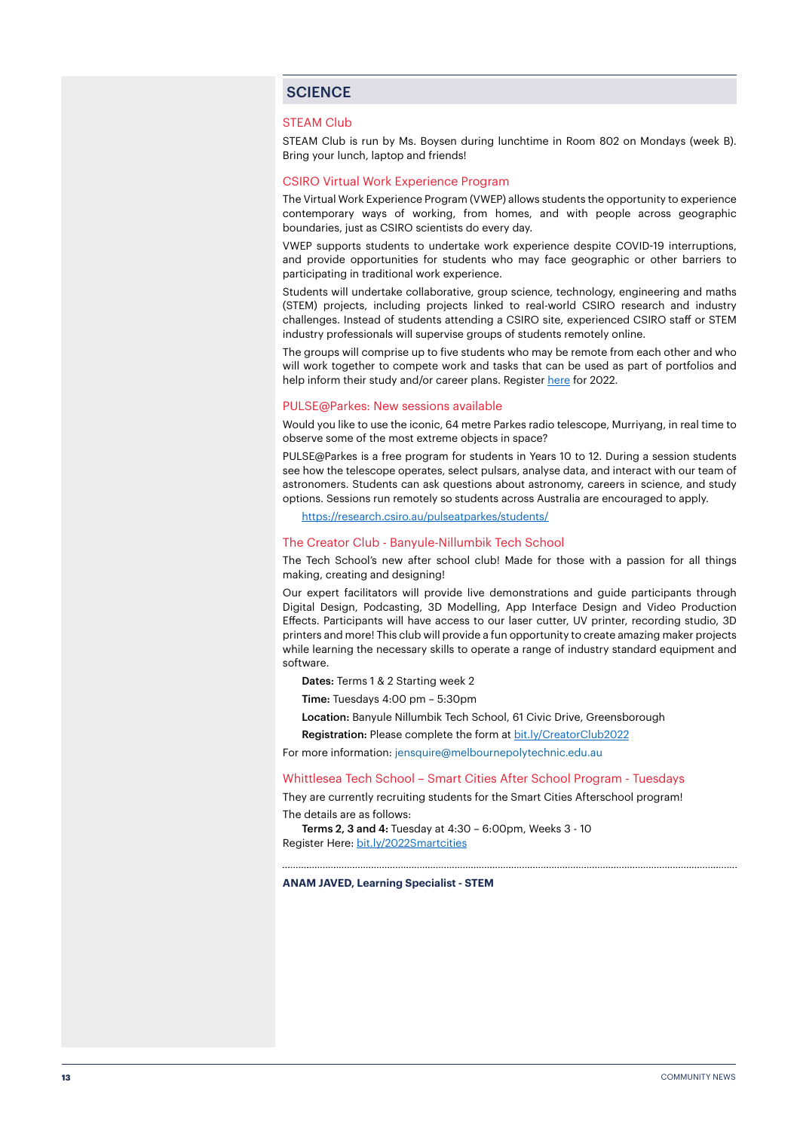### **SCIENCE**

### STEAM Club

STEAM Club is run by Ms. Boysen during lunchtime in Room 802 on Mondays (week B). Bring your lunch, laptop and friends!

### CSIRO Virtual Work Experience Program

The Virtual Work Experience Program (VWEP) allows students the opportunity to experience contemporary ways of working, from homes, and with people across geographic boundaries, just as CSIRO scientists do every day.

VWEP supports students to undertake work experience despite COVID-19 interruptions, and provide opportunities for students who may face geographic or other barriers to participating in traditional work experience.

Students will undertake collaborative, group science, technology, engineering and maths (STEM) projects, including projects linked to real-world CSIRO research and industry challenges. Instead of students attending a CSIRO site, experienced CSIRO staff or STEM industry professionals will supervise groups of students remotely online.

The groups will comprise up to five students who may be remote from each other and who will work together to compete work and tasks that can be used as part of portfolios and help inform their study and/or career plans. Register [here](https://www.csiro.au/en/careers/Scholarships-student-opportunities/work-experience?utm_source=Education-and-Outreach-2022_Term_1&utm_medium=newsletter&utm_campaign=Education-and-Outreach) for 2022.

#### PULSE@Parkes: New sessions available

Would you like to use the iconic, 64 metre Parkes radio telescope, Murriyang, in real time to observe some of the most extreme objects in space?

PULSE@Parkes is a free program for students in Years 10 to 12. During a session students see how the telescope operates, select pulsars, analyse data, and interact with our team of astronomers. Students can ask questions about astronomy, careers in science, and study options. Sessions run remotely so students across Australia are encouraged to apply.

<https://research.csiro.au/pulseatparkes/students/>

### The Creator Club - Banyule-Nillumbik Tech School

The Tech School's new after school club! Made for those with a passion for all things making, creating and designing!

Our expert facilitators will provide live demonstrations and guide participants through Digital Design, Podcasting, 3D Modelling, App Interface Design and Video Production Effects. Participants will have access to our laser cutter, UV printer, recording studio, 3D printers and more! This club will provide a fun opportunity to create amazing maker projects while learning the necessary skills to operate a range of industry standard equipment and software.

Dates: Terms 1 & 2 Starting week 2

Time: Tuesdays 4:00 pm – 5:30pm

Location: Banyule Nillumbik Tech School, 61 Civic Drive, Greensborough

Registration: Please complete the form at [bit.ly/CreatorClub2022](http://bit.ly/CreatorClub2022)

For more information: jensquire@melbournepolytechnic.edu.au

### Whittlesea Tech School – Smart Cities After School Program - Tuesdays

They are currently recruiting students for the Smart Cities Afterschool program! The details are as follows:

Terms 2, 3 and 4: Tuesday at 4:30 – 6:00pm, Weeks 3 - 10 Register Here: [bit.ly/2022Smartcities](http://bit.ly/2022Smartcities)

**ANAM JAVED, Learning Specialist - STEM**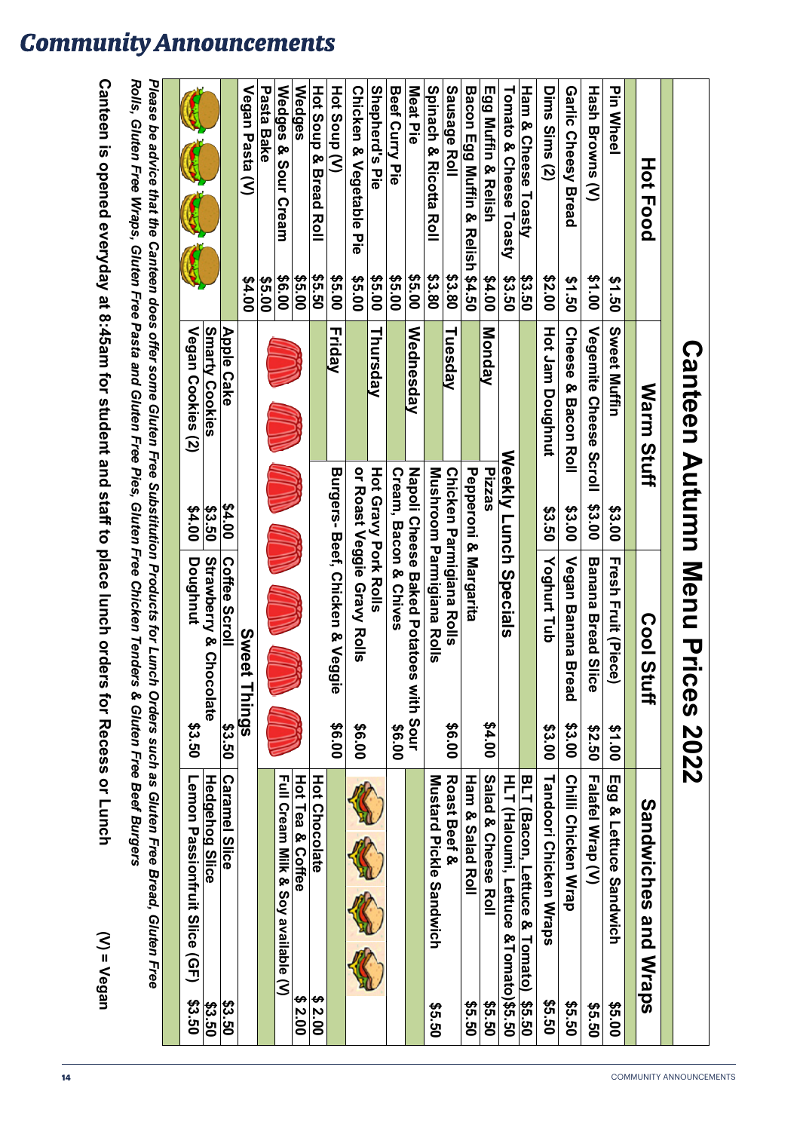| olis, Gluten Free Wraps, Gluten Free Pasta and Gluten Free Pies, Gluten Free Chicken Tenders & | ease be advice that the Capiter products and ally served in the Substitution of the Subset of the Capiter of L |
|------------------------------------------------------------------------------------------------|----------------------------------------------------------------------------------------------------------------|
|                                                                                                |                                                                                                                |
|                                                                                                |                                                                                                                |
|                                                                                                |                                                                                                                |
|                                                                                                |                                                                                                                |
|                                                                                                |                                                                                                                |
|                                                                                                |                                                                                                                |
|                                                                                                |                                                                                                                |
|                                                                                                |                                                                                                                |
|                                                                                                |                                                                                                                |
|                                                                                                |                                                                                                                |
|                                                                                                |                                                                                                                |
|                                                                                                |                                                                                                                |
|                                                                                                |                                                                                                                |
| ימו אבו                                                                                        |                                                                                                                |
|                                                                                                |                                                                                                                |
|                                                                                                |                                                                                                                |
|                                                                                                |                                                                                                                |

| COMMUNITY ANNOUNCEMENTS |  |
|-------------------------|--|
|                         |  |

|                 | \$1.50                                                                                                                                                                                                                                                                                                 | Sweet Muffin                                           | \$3.00                                                                                                                                                                                                                                     | <b>Fresh Fruit (Diece)</b>                                                                                               | \$1.00                                                                                                                                                                                                                                                                            |                                                                           |                                                                                                                                              |
|-----------------|--------------------------------------------------------------------------------------------------------------------------------------------------------------------------------------------------------------------------------------------------------------------------------------------------------|--------------------------------------------------------|--------------------------------------------------------------------------------------------------------------------------------------------------------------------------------------------------------------------------------------------|--------------------------------------------------------------------------------------------------------------------------|-----------------------------------------------------------------------------------------------------------------------------------------------------------------------------------------------------------------------------------------------------------------------------------|---------------------------------------------------------------------------|----------------------------------------------------------------------------------------------------------------------------------------------|
|                 |                                                                                                                                                                                                                                                                                                        |                                                        |                                                                                                                                                                                                                                            |                                                                                                                          |                                                                                                                                                                                                                                                                                   | Egg & Lettuce Sandwich                                                    | \$5.00                                                                                                                                       |
| Hash Browns (V) | \$1.00                                                                                                                                                                                                                                                                                                 | Vegemite Cheese Scroll                                 | \$3.00                                                                                                                                                                                                                                     | <b>Banana Bread S</b><br>lice                                                                                            | 09.50                                                                                                                                                                                                                                                                             | Falafel Wrap (V)                                                          | <b>09.50</b>                                                                                                                                 |
|                 | \$1.50                                                                                                                                                                                                                                                                                                 | <b>Cheese</b><br>დ,<br><b>Bacon Roll</b>               | \$3.00                                                                                                                                                                                                                                     | Vegan Banana Bread                                                                                                       | \$3.00                                                                                                                                                                                                                                                                            | <b>Chili Chicken Wrap</b>                                                 | 09.50                                                                                                                                        |
|                 | 00.2\$                                                                                                                                                                                                                                                                                                 | Hot Jam Doughnut                                       | \$3.50                                                                                                                                                                                                                                     | Yoghurt Tub                                                                                                              | \$3.00                                                                                                                                                                                                                                                                            | Tandoori Chicken Wraps                                                    | \$5.50                                                                                                                                       |
|                 |                                                                                                                                                                                                                                                                                                        |                                                        |                                                                                                                                                                                                                                            |                                                                                                                          |                                                                                                                                                                                                                                                                                   | <b>BLT</b>                                                                | \$5.50                                                                                                                                       |
|                 | \$3.50                                                                                                                                                                                                                                                                                                 |                                                        |                                                                                                                                                                                                                                            |                                                                                                                          |                                                                                                                                                                                                                                                                                   |                                                                           |                                                                                                                                              |
|                 | 00 7\$                                                                                                                                                                                                                                                                                                 |                                                        |                                                                                                                                                                                                                                            |                                                                                                                          | 00.1\$                                                                                                                                                                                                                                                                            | Salad & Cheese Roll                                                       | 09.50                                                                                                                                        |
|                 |                                                                                                                                                                                                                                                                                                        |                                                        |                                                                                                                                                                                                                                            |                                                                                                                          |                                                                                                                                                                                                                                                                                   | Ham & Salad Roll                                                          | 09.50                                                                                                                                        |
|                 | \$3.80                                                                                                                                                                                                                                                                                                 |                                                        |                                                                                                                                                                                                                                            |                                                                                                                          | 00.9\$                                                                                                                                                                                                                                                                            | Roast Beef &                                                              |                                                                                                                                              |
|                 | \$3.80                                                                                                                                                                                                                                                                                                 |                                                        |                                                                                                                                                                                                                                            |                                                                                                                          |                                                                                                                                                                                                                                                                                   | <b>Nustard Pickle Sandwich</b>                                            | 09.50                                                                                                                                        |
|                 | \$5.00                                                                                                                                                                                                                                                                                                 |                                                        |                                                                                                                                                                                                                                            |                                                                                                                          |                                                                                                                                                                                                                                                                                   |                                                                           |                                                                                                                                              |
|                 | \$5.00                                                                                                                                                                                                                                                                                                 |                                                        |                                                                                                                                                                                                                                            |                                                                                                                          | 00.9\$                                                                                                                                                                                                                                                                            |                                                                           |                                                                                                                                              |
|                 | \$5.00                                                                                                                                                                                                                                                                                                 |                                                        |                                                                                                                                                                                                                                            |                                                                                                                          |                                                                                                                                                                                                                                                                                   |                                                                           |                                                                                                                                              |
|                 | \$5.00                                                                                                                                                                                                                                                                                                 |                                                        |                                                                                                                                                                                                                                            |                                                                                                                          | 00.9\$                                                                                                                                                                                                                                                                            |                                                                           |                                                                                                                                              |
|                 | 35.00                                                                                                                                                                                                                                                                                                  |                                                        |                                                                                                                                                                                                                                            |                                                                                                                          | 00.9\$                                                                                                                                                                                                                                                                            |                                                                           |                                                                                                                                              |
|                 | \$5.50                                                                                                                                                                                                                                                                                                 |                                                        |                                                                                                                                                                                                                                            |                                                                                                                          |                                                                                                                                                                                                                                                                                   | <b>Hot Chocolate</b>                                                      | \$2.00                                                                                                                                       |
|                 | \$5.00                                                                                                                                                                                                                                                                                                 |                                                        |                                                                                                                                                                                                                                            |                                                                                                                          |                                                                                                                                                                                                                                                                                   | Hot Tea & Coffee                                                          | €,<br>$\frac{2.00}{2}$                                                                                                                       |
|                 | \$6.00                                                                                                                                                                                                                                                                                                 |                                                        |                                                                                                                                                                                                                                            |                                                                                                                          |                                                                                                                                                                                                                                                                                   |                                                                           |                                                                                                                                              |
|                 | \$5.00                                                                                                                                                                                                                                                                                                 |                                                        |                                                                                                                                                                                                                                            |                                                                                                                          |                                                                                                                                                                                                                                                                                   |                                                                           |                                                                                                                                              |
|                 | 00'7\$                                                                                                                                                                                                                                                                                                 |                                                        |                                                                                                                                                                                                                                            |                                                                                                                          |                                                                                                                                                                                                                                                                                   |                                                                           |                                                                                                                                              |
|                 |                                                                                                                                                                                                                                                                                                        | <b>Apple Cake</b>                                      | 00 75                                                                                                                                                                                                                                      | Coffee Scroll                                                                                                            | \$3.50                                                                                                                                                                                                                                                                            | <b>Caramel Slice</b>                                                      | <b>\$3.50</b>                                                                                                                                |
|                 |                                                                                                                                                                                                                                                                                                        |                                                        | \$3.50                                                                                                                                                                                                                                     |                                                                                                                          |                                                                                                                                                                                                                                                                                   |                                                                           | \$3.50                                                                                                                                       |
|                 |                                                                                                                                                                                                                                                                                                        | Vegan Cookies (2)                                      | 00.7\$                                                                                                                                                                                                                                     | Doughnut                                                                                                                 | \$3.50                                                                                                                                                                                                                                                                            | Lemon Passionfruit Slice (GF)                                             | <b>\$3.50</b>                                                                                                                                |
|                 |                                                                                                                                                                                                                                                                                                        |                                                        |                                                                                                                                                                                                                                            |                                                                                                                          |                                                                                                                                                                                                                                                                                   |                                                                           |                                                                                                                                              |
|                 |                                                                                                                                                                                                                                                                                                        |                                                        |                                                                                                                                                                                                                                            | Rolls, Gluten Free Wraps, Gluten Free Pasta and Gluten Free Pies, Gluten Free Chicken Tenders & Gluten Free Beef Burgers |                                                                                                                                                                                                                                                                                   |                                                                           |                                                                                                                                              |
|                 | <b>Wedges &amp; Sour Cream</b><br><b>Spirach &amp; Kicotta Roll</b><br>Vegan Pasta (V)<br>Hot Soup & Bread Roll<br>Shepherd's Pie<br><b>Beef Curry Pie</b><br>Egg Muffin & Relish<br>Ham & Cheese Toasty<br><b>Garlic Cheesy Bread</b><br><b>Chicken &amp; Vegetable Pie</b><br>Tomato & Cheese Toasty | Bacon Egg Muffin & Relish \$4.50<br>$\frac{53.50}{50}$ | Please be advice that the Canteen does offer some Gluten Free Substitution Products for Lunch Orders such as Gluten Free Bread, Gluten Free<br><b>Smarty Cookies</b><br><b>Friday</b><br>Wednesday<br>Monday<br>Thursday<br><b>Tuesday</b> | Pizzas                                                                                                                   | <b>Weekly Lunch Specials</b><br>Mushroom Parmigiana Rolls<br>Pepperoni & Margarita<br>Burgers- Beef, Chicken & Veggie<br>or Roast Veggie Gravy Rolls<br><b>Hot Gravy Pork Rolls</b><br>Chicken Parmigiana Rolls<br><b>Cream, Bacon &amp; Chives</b><br><b>Strawberry &amp; Ch</b> | Napoli Cheese Baked Potatoes with Sour<br>Sweet Things<br><b>locolate</b> | <u>Hedgehog Slice</u><br>HLT (Haloumi, Lettuce &Tomato)\$5.50<br><b>Full Cream Milk &amp; Soy available (V)</b><br>(Bacon, Lettuce & Tomato) |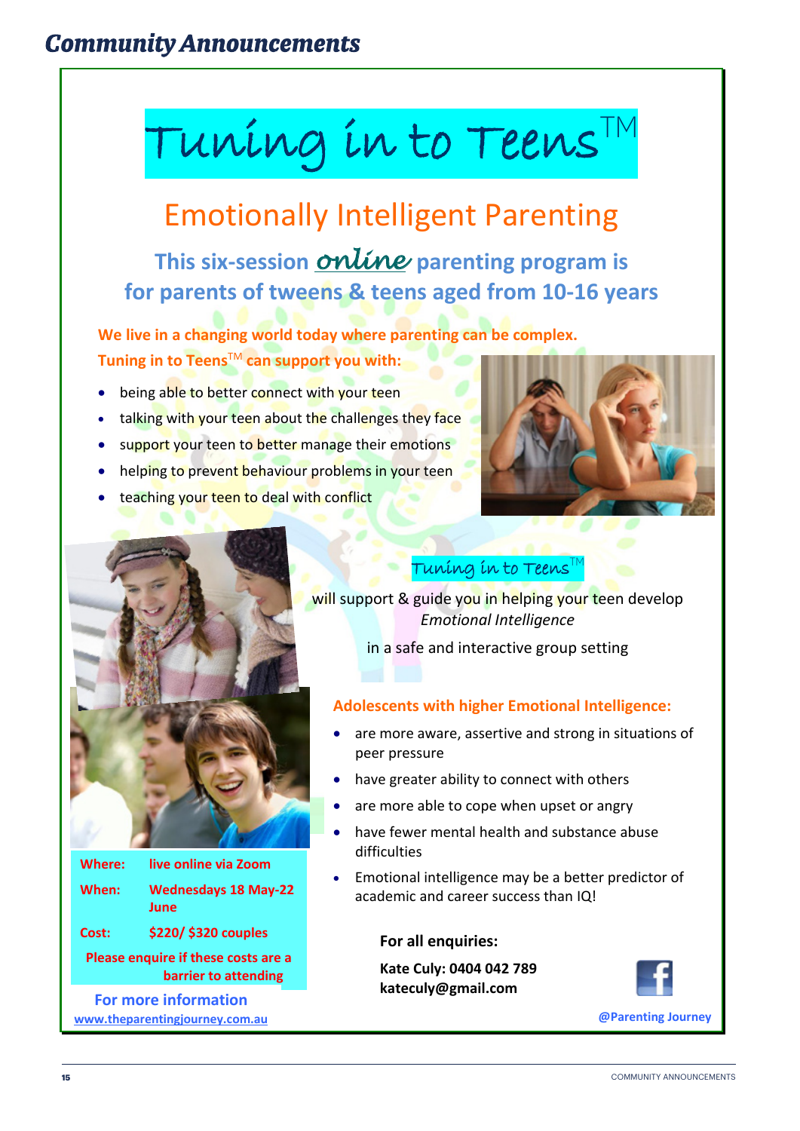# **Community Announcements**

# Tuning in to Teens  $^{TN}$

# Emotionally Intelligent Parenting

**This six-session** *online* **parenting program is for parents of tweens & teens aged from 10-16 years**

**We live in a changing world today where parenting can be complex. Tuning in to Teens**TM **can support you with:**

- being able to better connect with your teen
- talking with your teen about the challenges they face
- support your teen to better manage their emotions
- helping to prevent behaviour problems in your teen
- teaching your teen to deal with conflict





| <b>Where:</b> | live online via Zoom                |
|---------------|-------------------------------------|
| When:         | <b>Wednesdays 18 May-22</b><br>June |
| Cost:         | \$220/ \$320 couples                |

**Please enquire if these costs are a barrier to attending**

**kateculy@gmail.com For more information www.theparentingjourney.com.au**

### Tuning in to Teens $^{\mathsf{T}}$

will support & guide you in helping your teen develop *Emotional Intelligence*

in a safe and interactive group setting

### **Adolescents with higher Emotional Intelligence:**

- are more aware, assertive and strong in situations of peer pressure
- have greater ability to connect with others
- are more able to cope when upset or angry
- have fewer mental health and substance abuse difficulties
- Emotional intelligence may be a better predictor of academic and career success than IQ!

### **For all enquiries:**

**Kate Culy: 0404 042 789**